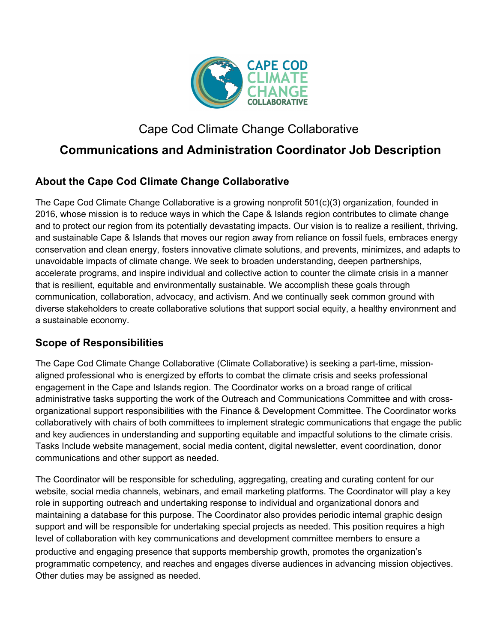

# Cape Cod Climate Change Collaborative

# **Communications and Administration Coordinator Job Description**

## **About the Cape Cod Climate Change Collaborative**

The Cape Cod Climate Change Collaborative is a growing nonprofit 501(c)(3) organization, founded in 2016, whose mission is to reduce ways in which the Cape & Islands region contributes to climate change and to protect our region from its potentially devastating impacts. Our vision is to realize a resilient, thriving, and sustainable Cape & Islands that moves our region away from reliance on fossil fuels, embraces energy conservation and clean energy, fosters innovative climate solutions, and prevents, minimizes, and adapts to unavoidable impacts of climate change. We seek to broaden understanding, deepen partnerships, accelerate programs, and inspire individual and collective action to counter the climate crisis in a manner that is resilient, equitable and environmentally sustainable. We accomplish these goals through communication, collaboration, advocacy, and activism. And we continually seek common ground with diverse stakeholders to create collaborative solutions that support social equity, a healthy environment and a sustainable economy.

### **Scope of Responsibilities**

The Cape Cod Climate Change Collaborative (Climate Collaborative) is seeking a part-time, missionaligned professional who is energized by efforts to combat the climate crisis and seeks professional engagement in the Cape and Islands region. The Coordinator works on a broad range of critical administrative tasks supporting the work of the Outreach and Communications Committee and with crossorganizational support responsibilities with the Finance & Development Committee. The Coordinator works collaboratively with chairs of both committees to implement strategic communications that engage the public and key audiences in understanding and supporting equitable and impactful solutions to the climate crisis. Tasks Include website management, social media content, digital newsletter, event coordination, donor communications and other support as needed.

The Coordinator will be responsible for scheduling, aggregating, creating and curating content for our website, social media channels, webinars, and email marketing platforms. The Coordinator will play a key role in supporting outreach and undertaking response to individual and organizational donors and maintaining a database for this purpose. The Coordinator also provides periodic internal graphic design support and will be responsible for undertaking special projects as needed. This position requires a high level of collaboration with key communications and development committee members to ensure a productive and engaging presence that supports membership growth, promotes the organization's programmatic competency, and reaches and engages diverse audiences in advancing mission objectives. Other duties may be assigned as needed.